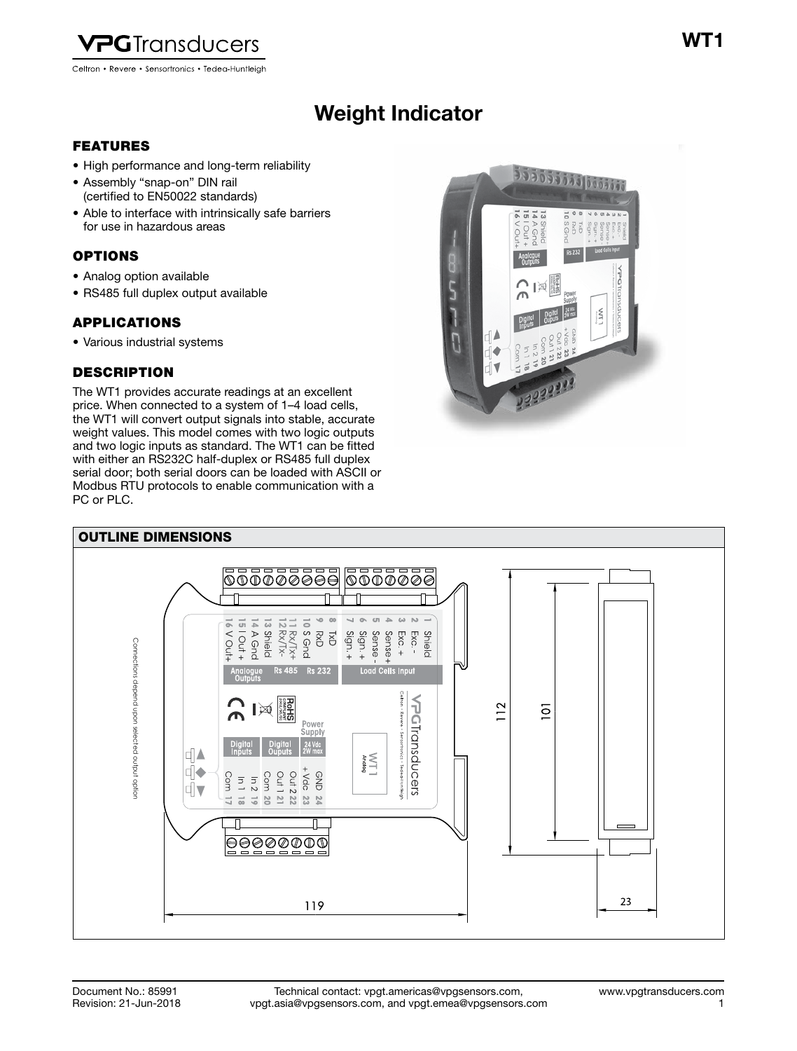

Celtron • Revere • Sensortronics • Tedea-Huntleigh

# Weight Indicator Weight Indicator

# FEATURES

- High performance and long-term reliability
- Assembly "snap-on" DIN rail (certified to EN50022 standards)
- Able to interface with intrinsically safe barriers for use in hazardous areas

# OPTIONS

- Analog option available
- RS485 full duplex output available

# APPLICATIONS

• Various industrial systems

# **DESCRIPTION**

The WT1 provides accurate readings at an excellent price. When connected to a system of 1–4 load cells, the WT1 will convert output signals into stable, accurate weight values. This model comes with two logic outputs and two logic inputs as standard. The WT1 can be fitted with either an RS232C half-duplex or RS485 full duplex serial door; both serial doors can be loaded with ASCII or Modbus RTU protocols to enable communication with a PC or PLC.



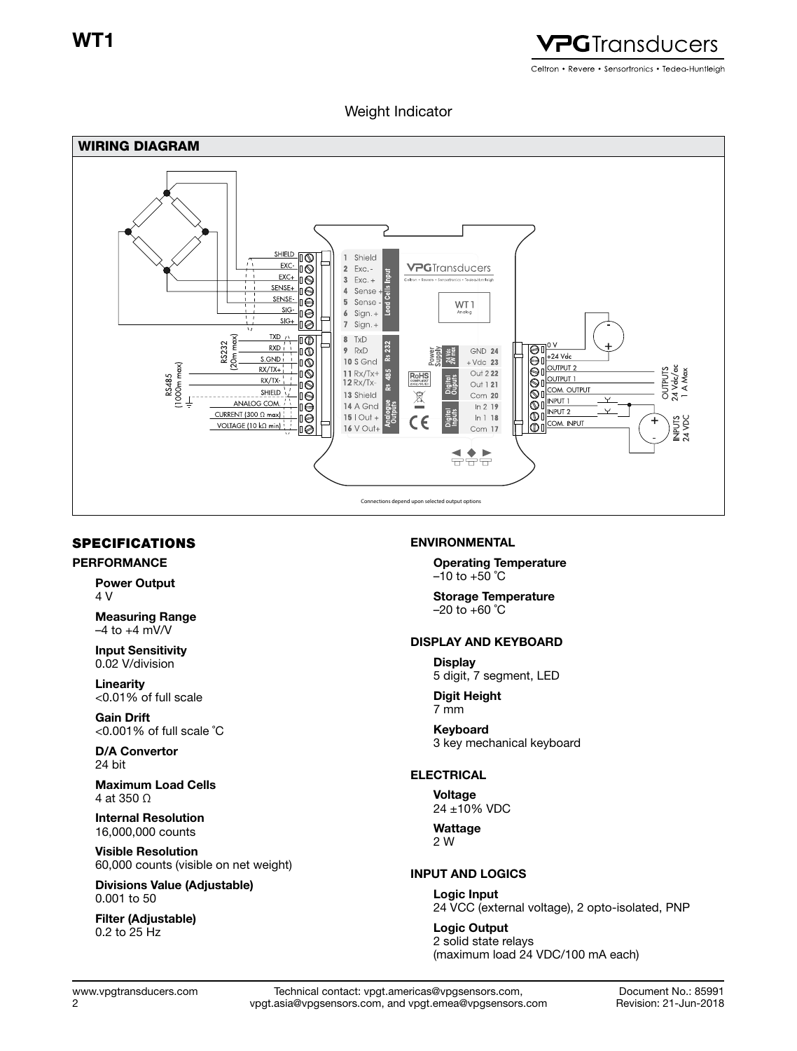WT1



# Weight Indicator



### SPECIFICATIONS

#### PERFORMANCE

Power Output 4 V

Measuring Range  $-4$  to  $+4$  mV/V

Input Sensitivity 0.02 V/division

Linearity <0.01% of full scale

Gain Drift <0.001% of full scale ˚C

D/A Convertor 24 bit

Maximum Load Cells 4 at 350 Ω

Internal Resolution 16,000,000 counts

Visible Resolution 60,000 counts (visible on net weight)

Divisions Value (Adjustable) 0.001 to 50

Filter (Adjustable) 0.2 to 25 Hz

#### ENVIRONMENTAL

Operating Temperature  $-10$  to  $+50$  °C

Storage Temperature  $-20$  to  $+60$  °C

### DISPLAY AND KEYBOARD

**Display** 5 digit, 7 segment, LED

Digit Height 7 mm

Keyboard 3 key mechanical keyboard

### ELECTRICAL

Voltage 24 ±10% VDC

**Wattage** 2 W

#### INPUT AND LOGICS

Logic Input 24 VCC (external voltage), 2 opto-isolated, PNP

Logic Output 2 solid state relays (maximum load 24 VDC/100 mA each)

2